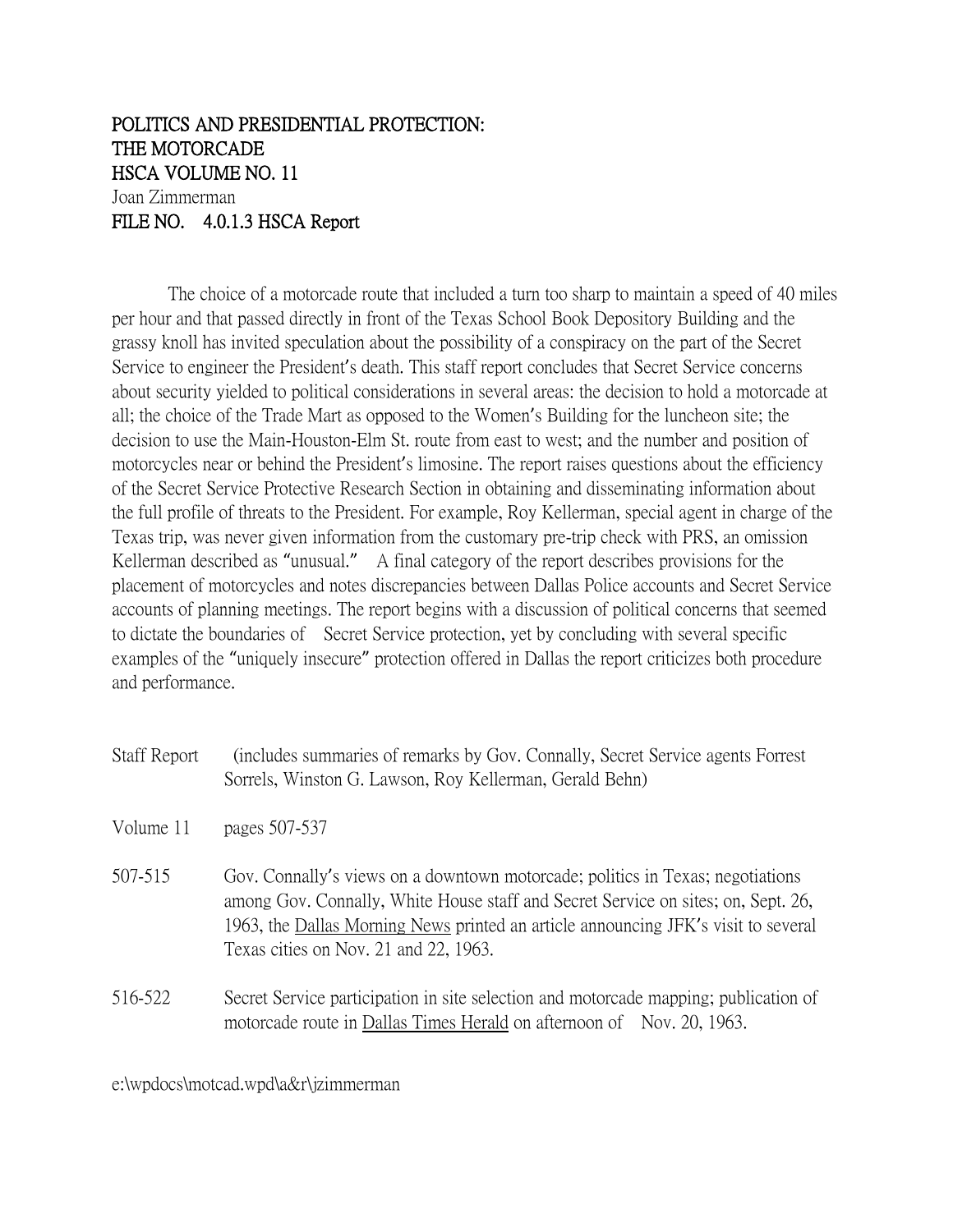## POLITICS AND PRESIDENTIAL PROTECTION: THE MOTORCADE HSCA VOLUME NO. 11 Joan Zimmerman FILE NO. 4.0.1.3 HSCA Report

The choice of a motorcade route that included a turn too sharp to maintain a speed of 40 miles per hour and that passed directly in front of the Texas School Book Depository Building and the grassy knoll has invited speculation about the possibility of a conspiracy on the part of the Secret Service to engineer the President's death. This staff report concludes that Secret Service concerns about security yielded to political considerations in several areas: the decision to hold a motorcade at all; the choice of the Trade Mart as opposed to the Women's Building for the luncheon site; the decision to use the Main-Houston-Elm St. route from east to west; and the number and position of motorcycles near or behind the President's limosine. The report raises questions about the efficiency of the Secret Service Protective Research Section in obtaining and disseminating information about the full profile of threats to the President. For example, Roy Kellerman, special agent in charge of the Texas trip, was never given information from the customary pre-trip check with PRS, an omission Kellerman described as "unusual." A final category of the report describes provisions for the placement of motorcycles and notes discrepancies between Dallas Police accounts and Secret Service accounts of planning meetings. The report begins with a discussion of political concerns that seemed to dictate the boundaries of Secret Service protection, yet by concluding with several specific examples of the "uniquely insecure" protection offered in Dallas the report criticizes both procedure and performance.

| <b>Staff Report</b> | (includes summaries of remarks by Gov. Connally, Secret Service agents Forrest |
|---------------------|--------------------------------------------------------------------------------|
|                     | Sorrels, Winston G. Lawson, Roy Kellerman, Gerald Behn)                        |

- Volume 11 pages 507-537
- 507-515 Gov. Connally's views on a downtown motorcade; politics in Texas; negotiations among Gov. Connally, White House staff and Secret Service on sites; on, Sept. 26, 1963, the Dallas Morning News printed an article announcing JFK's visit to several Texas cities on Nov. 21 and 22, 1963.
- 516-522 Secret Service participation in site selection and motorcade mapping; publication of motorcade route in Dallas Times Herald on afternoon of Nov. 20, 1963.

e:\wpdocs\motcad.wpd\a&r\jzimmerman